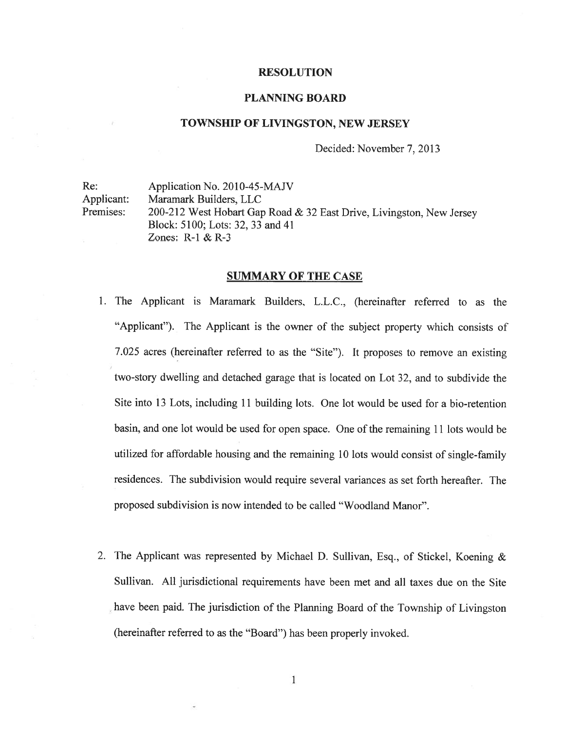#### RESOLUTION

#### PLANNING BOARD

#### TOWNSHIP OF LIVINGSTON, NEW JERSEY

Decided: November 7, 2013

Re: Application No. 2010-45-MAJV Applicant: Maramark Builders, LLC Premises: 200-212 West Hobart Gap Road & 32 East Drive, Livingston, New Jersey Block: 5100; Lots: 32,33 and 41 Zones: R-1 & R-3

#### SUMMARY OF THE CASE

- 1. The Applicant is Maramark Builders, L.L.C., (hereinafter referred to as the "Applicant"). The Applicant is the owner of the subject property which consists of 7.025 acres (hereinafter referred to as the "Site"). It proposes to remove an existing two-story dwelling and detached garage that is located on Lot 32, and to subdivide the Site into 13 Lots, including 11 building lots. One lot would be used for <sup>a</sup> bio-retention basin, and one lot would be used for open space. One of the remaining <sup>11</sup> lots would be utilized for affordable housing and the remaining <sup>10</sup> lots would consist of single-family residences. The subdivision would require several variances as set forth hereafter. The proposed subdivision is now intended to be called "Woodland Manor".
- 2. The Applicant was represented by Michael D. Sullivan, Esq.. of Stickel, Koening & Sullivan. All jurisdictional requirements have been met and all taxes due on the Site have been paid. The jurisdiction of the Planning Board of the Township of Livingston (hereinafter referred to as the "Board") has been properly invoked.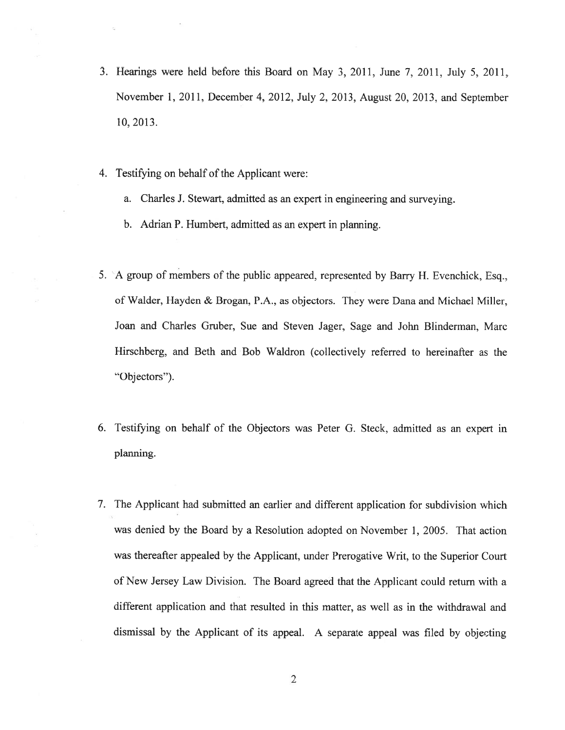- 3. Hearings were held before this Board on May 3, 2011, June 7, 2011. July 5, 2011, November 1. 2011, December 4, 2012, July 2. 2013, August 20, 2013. and September 10, 2013.
- 4. Testifying on behalf of the Applicant were:
	- a. Charles J. Stewart, admitted as an exper<sup>t</sup> in engineering and surveying.
	- b. Adrian P. Humbert. admitted as an exper<sup>t</sup> in planning.
- 5. <sup>A</sup> group of members of the public appeared, represented by Barry H. Evenchick, Esq.. of Walder, Hayden & Brogan, P.A., as objectors. They were Dana and Michael Miller, Joan and Charles Gruber, Sue and Steven Jager, Sage and John Blinderman, Marc Hirschberg, and Beth and Bob Waidron (collectively referred to hereinafter as the "Objectors").
- 6. Testifying on behalf of the Objectors was Peter G. Steck, admitted as an exper<sup>t</sup> in planning.
- 7. The Applicant had submitted an earlier and different application for subdivision which was denied by the Board by <sup>a</sup> Resolution adopted on November 1, 2005. That action was thereafter appealed by the Applicant, under Prerogative Writ, to the Superior Court of New Jersey Law Division. The Board agreed that the Applicant could return with <sup>a</sup> different application and that resulted in this matter, as well as in the withdrawal and dismissal by the Applicant of its appeal. <sup>A</sup> separate appea<sup>l</sup> was filed by objecting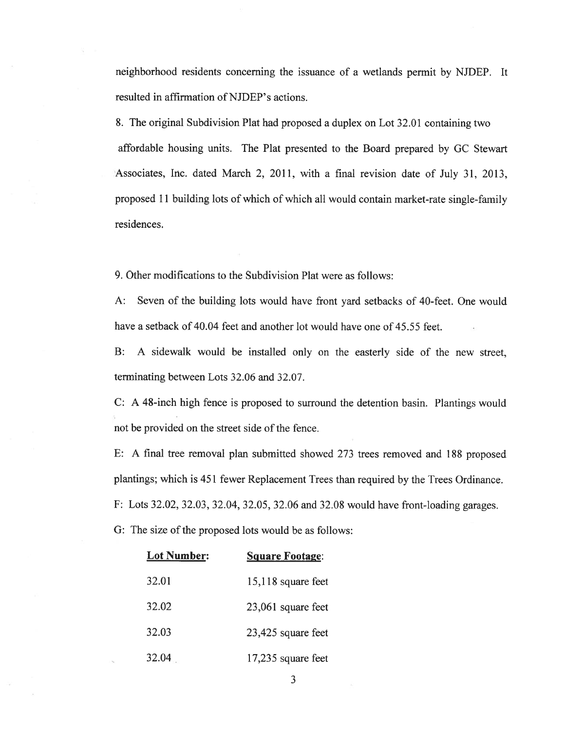neighborhood residents concerning the issuance of <sup>a</sup> wetlands permit by NJDEP. It resulted in affirmation of NJDEP's actions.

8. The original Subdivision Plat had proposed <sup>a</sup> duplex on Lot 32.01 containing two affordable housing units. The Plat presented to the Board prepared by GC Stewart Associates, Inc. dated March 2, 2011, with <sup>a</sup> final revision date of July 31, 2013, proposed <sup>11</sup> building lots of which of which all would contain market-rate single-family residences.

9. Other modifications to the Subdivision Plat were as follows:

A: Seven of the building lots would have front yard setbacks of 40-feet. One would have <sup>a</sup> setback of 40.04 feet and another lot would have one of 45.55 feet.

B: A sidewalk would be installed only on the easterly side of the new street, terminating between Lots 32.06 and 32.07.

C: <sup>A</sup> 48-inch high fence is proposed to surround the detention basin. Plantings would not be provided on the street side of the fence.

E: <sup>A</sup> final tree removal <sup>p</sup>lan submitted showed <sup>273</sup> trees removed and <sup>188</sup> propose<sup>d</sup> <sup>p</sup>lantings; which is 451 fewer Replacement Trees than required by the Trees Ordinance. F: Lots 32.02. 32.03, 32.04, 32.05, 32.06 and 32.08 would have front-loading garages. G: The size of the proposed lots would be as follows:

| <b>Lot Number:</b> | <b>Square Footage:</b> |
|--------------------|------------------------|
| 32.01              | $15,118$ square feet   |
| 32.02              | 23,061 square feet     |
| 32.03              | 23,425 square feet     |
| 32.04              | 17,235 square feet     |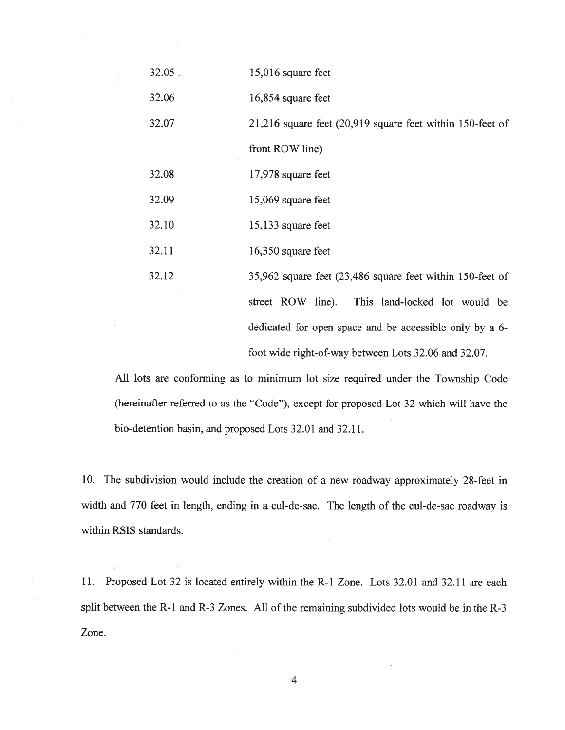| 32.05 | 15,016 square feet                                             |
|-------|----------------------------------------------------------------|
| 32.06 | 16,854 square feet                                             |
| 32.07 | $21,216$ square feet $(20,919)$ square feet within 150-feet of |
|       | front ROW line)                                                |
| 32.08 | 17,978 square feet                                             |
| 32.09 | 15,069 square feet                                             |
| 32.10 | 15,133 square feet                                             |
| 32.11 | 16,350 square feet                                             |
| 32.12 | 35,962 square feet (23,486 square feet within 150-feet of      |
|       | street ROW line). This land-locked lot would be                |
|       | dedicated for open space and be accessible only by a 6-        |
|       | foot wide right-of-way between Lots 32.06 and 32.07.           |

All lots are conforming as to minimum lot size required under the Township Code (hereinafter referred to as the "Code"), excep<sup>t</sup> for proposed Lot 32 which will have the bio-detention basin, and proposed Lots 32.01 and 32.11.

10. The subdivision would include the creation of <sup>a</sup> new roadway approximately 28-feet in width and 770 feet in length, ending in <sup>a</sup> cul-de-sac. The length of the cul-de-sac roadway is within RSIS standards.

11. Proposed Lot 32 is located entirely within the R-1 Zone. Lots 32.01 and 32.11 are each split between the R-1 and R-3 Zones. All of the remaining subdivided lots would be in the R-3 Zone.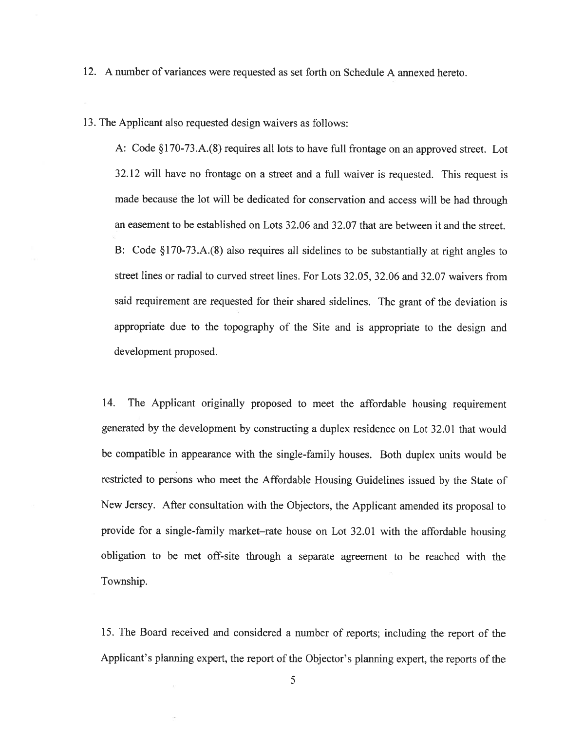12. A number of variances were requested as set forth on Schedule A annexed hereto.

13. The Applicant also requested design waivers as follows:

A: Code §170-73.A.(8) requires all lots to have full frontage on an approve<sup>d</sup> street. Lot 32.12 will have no frontage on <sup>a</sup> street and <sup>a</sup> full waiver is requested. This reques<sup>t</sup> is made because the lot will be dedicated for conservation and access will be had through an easement to be established on Lots 32.06 and 32.07 that are between it and the street. B: Code §170-73.A.(8) also requires all sidelines to be substantially at right angles to street lines or radial to curved street lines. For Lots 32.05, 32.06 and 32.07 waivers from said requirement are requested for their shared sidelines. The gran<sup>t</sup> of the deviation is appropriate due to the topography of the Site and is appropriate to the design and development proposed.

14. The Applicant originally propose<sup>d</sup> to meet the affordable housing requirement generated by the development by constructing <sup>a</sup> duplex residence on Lot 32.01 that would be compatible in appearance with the single-family houses. Both duplex units would be restricted to persons who meet the Affordable Housing Guidelines issued by the State of New Jersey. After consultation with the Objectors. the Applicant amended its proposa<sup>l</sup> to provide for <sup>a</sup> single-family market—rate house on Lot 32.01 with the affordable housing obligation to be met off-site through <sup>a</sup> separate agreemen<sup>t</sup> to be reached with the Township.

15. The Board received and considered <sup>a</sup> number of reports; including the repor<sup>t</sup> of the Applicant's <sup>p</sup>lanning expert, the repor<sup>t</sup> of the Objector's <sup>p</sup>lanning expert, the reports of the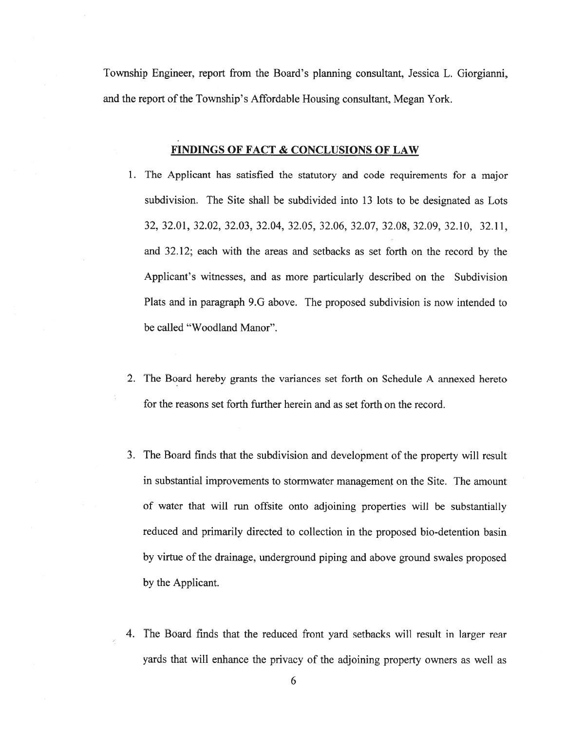Township Engineer, repor<sup>t</sup> from the Board's planning consultant, Jessica L. Giorgianni, and the report of the Township's Affordable Housing consultant, Megan York.

### FINDINGS OF FACT & CONCLUSIONS OF LAW

- 1. The Applicant has satisfied the statutory and code requirements for <sup>a</sup> major subdivision. The Site shall be subdivided into 13 lots to be designated as Lots 32, 32.01, 32.02, 32.03, 32.04, 32.05, 32.06, 32.07, 32.08, 32.09, 32.10, 32.11, and 32.12; each with the areas and setbacks as set forth on the record by the Applicant's witnesses, and as more particularly described on the Subdivision Plats and in paragraph 9.G above. The proposed subdivision is now intended to be called "Woodland Manor".
- 2. The Board hereby grants the variances set forth on Schedule A annexed hereto for the reasons set forth further herein and as set forth on the record.
- 3. The Board finds that the subdivision and development of the property will result in substantial improvements to stormwater managemen<sup>t</sup> on the Site. The amount of water that will run offsite onto adjoining properties will be substantially reduced and primarily directed to collection in the proposed bio-detention basin by virtue of the drainage, underground <sup>p</sup>iping and above ground swales proposed by the Applicant.
- 4. The Board finds that the reduced front yard setbacks will result in larger rear yards that will enhance the privacy of the adjoining property owners as well as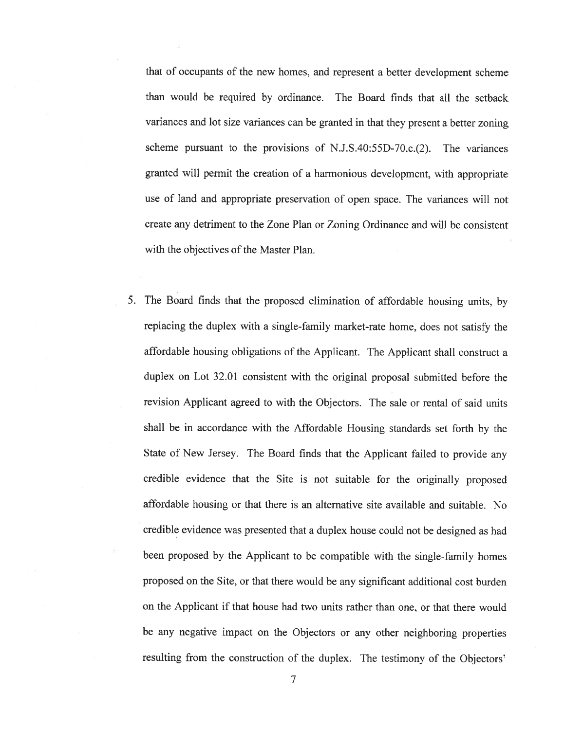that of occupants of the new homes, and represen<sup>t</sup> <sup>a</sup> better development scheme than would be required by ordinance. The Board finds that all the setback variances and lot size variances can be granted in that they presen<sup>t</sup> <sup>a</sup> better zoning scheme pursuan<sup>t</sup> to the provisions of N.J.S.40:55D-70.c.(2). The variances granted will permit the creation of <sup>a</sup> harmonious development, with appropriate use of land and appropriate preservation of open space. The variances will not create any detriment to the Zone Plan or Zoning Ordinance and will be consistent with the objectives of the Master Plan.

5. The Board finds that the propose<sup>d</sup> elimination of affordable housing units, by replacing the duplex with <sup>a</sup> single-family market-rate home, does not satisfy the affordable housing obligations of the Applicant. The Applicant shall construct <sup>a</sup> duplex on Lot 32.01 consistent with the original proposal submitted before the revision Applicant agreed to with the Objectors. The sale or rental of said units shall be in accordance with the Affordable Housing standards set forth by the State of New Jersey. The Board finds that the Applicant failed to provide any credible evidence that the Site is not suitable for the originally propose<sup>d</sup> affordable housing or that there is an alternative site available and suitable. No credible evidence was presented that <sup>a</sup> duplex house could not be designed as had been propose<sup>d</sup> by the Applicant to be compatible with the single-family homes propose<sup>d</sup> on the Site, or that there would be any significant additional cost burden on the Applicant if that house had two units rather than one, or that there would be any negative impact on the Objectors or any other neighboring properties resuhing from the construction of the duplex. The testimony of the Objectors'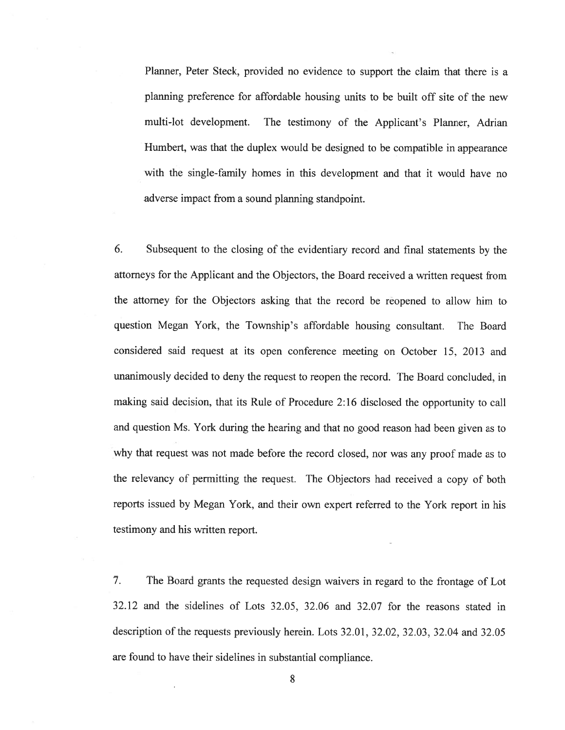Planner. Peter Steck, provided no evidence to suppor<sup>t</sup> the claim that there is <sup>a</sup> planning preference for affordable housing units to be built off site of the new multi-lot development. The testimony of the Applicant's Planner, Adrian Humbert, was that the duplex would be designed to be compatible in appearance with the single-family homes in this development and that it would have no adverse impact from <sup>a</sup> sound planning standpoint.

6. Subsequent to the closing of the evidentiary record and final statements by the attorneys for the Applicant and the Objectors, the Board received <sup>a</sup> written reques<sup>t</sup> from the attorney for the Objectors asking that the record be reopened to allow him to question Megan York, the Township's affordable housing consultant. The Board considered said reques<sup>t</sup> at its open conference meeting on October 15. 2013 and unanimously decided to deny the reques<sup>t</sup> to reopen the record. The Board concluded, in making said decision, that its Rule of Procedure 2:16 disclosed the opportunity to call and question Ms. York during the hearing and that no goo<sup>d</sup> reason had been <sup>g</sup>iven as to why that reques<sup>t</sup> was not made before the record closed, nor was any proo<sup>f</sup> made as to the relevancy of permitting the request. The Objectors had received <sup>a</sup> copy of both reports issued by Megan York, and their own exper<sup>t</sup> referred to the York repor<sup>t</sup> in his testimony and his written report.

7. The Board grants the requested design waivers in regard to the frontage of Lot 32.12 and the sidelines of Lots 32.05, 32.06 and 32.07 for the reasons stated in description of the requests previously herein. Lots 32.01, 32.02, 32.03, 32.04 and 32.05 are found to have their sidelines in substantial compliance.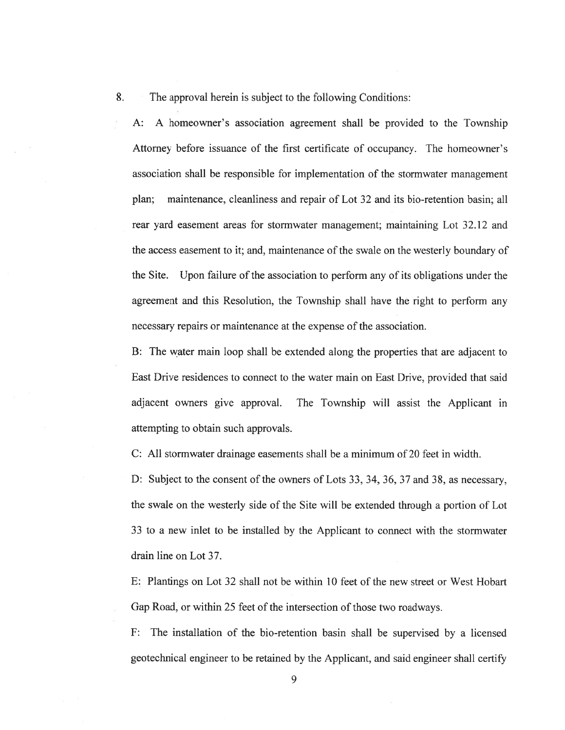8. The approval herein is subject to the following Conditions:

A: A homeowner's association agreemen<sup>t</sup> shall be provided to the Township Attorney before issuance of the first certificate of occupancy. The homeowner's association shall be responsible for implementation of the stormwater managemen<sup>t</sup> plan; maintenance, cleanliness and repair of Lot 32 and its bio-retention basin; all rear yard easement areas for stormwater management; maintaining Lot 32.12 and the access easement to it; and, maintenance of the swale on the westerly boundary of the Site. Upon failure of the association to perform any of its obligations under the agreemen<sup>t</sup> and this Resolution, the Township shall have the right to perform any necessary repairs or maintenance at the expense of the association.

B: The water main loop shall be extended along the properties that are adjacent to East Drive residences to connect to the water main on East Drive. provided that said adjacent owners give approval. The Township will assist the Applicant in attempting to obtain such approvals.

C: All stormwater drainage easements shall be <sup>a</sup> minimum of 20 feet in width.

D: Subject to the consent of the owners of Lots 33, 34, 36, 37 and 38, as necessary, the swale on the westerly side of the Site will be extended through <sup>a</sup> portion of Lot 33 to <sup>a</sup> new inlet to be installed by the Applicant to connect with the stormwater drain line on Lot 37.

E: Plantings on Lot 32 shall not be within 10 feet of the new street or West Hobart Gap Road, or within 25 feet of the intersection of those two roadways.

F: The installation of the bio-retention basin shall be supervised by <sup>a</sup> licensed geotechnical engineer to be retained by the Applicant, and said engineer shall certify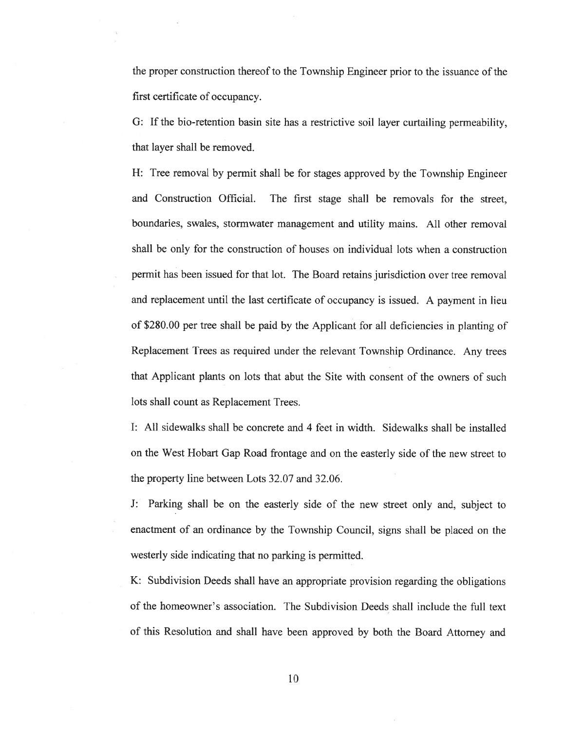the proper construction thereof to the Township Engineer prior to the issuance of the first certificate of occupancy.

G: If the bio-retention basin site has <sup>a</sup> restrictive soil layer curtailing permeability, that layer shall be removed.

H: Tree removal by permit shall be for stages approved by the Township Engineer and Construction Official. The first stage shall be removals for the street, boundaries, swales. stormwater managemen<sup>t</sup> and utility mains. All other removal shall be only for the construction of houses on individual lots when <sup>a</sup> construction permit has been issued for that lot. The Board retains jurisdiction over tree removal and replacement until the last certificate of occupancy is issued. <sup>A</sup> paymen<sup>t</sup> in lieu of \$280.00 per tree shall be paid by the Applicant for all deficiencies in <sup>p</sup>lanting of Replacement Trees as required under the relevant Township Ordinance. Any trees that Applicant plants on lots that abut the Site with consent of the owners of such lots shall count as Replacement Trees.

I: All sidewalks shall be concrete and 4 feet in width. Sidewalks shall be installed on the West Hobart Gap Road frontage and on the easterly side of the new street to the property line between Lots 32.07 and 32.06.

J: Parking shall be on the easterly side of the new street only and. subject to enactment of an ordinance by the Township Council, signs shall be <sup>p</sup>laced on the westerly side indicating that no parking is permitted.

K: Subdivision Deeds shall have an appropriate provision regarding the obligations of the homeowner's association. The Subdivision Deeds shall include the full text of this Resolution and shall have been approved by both the Board Attorney and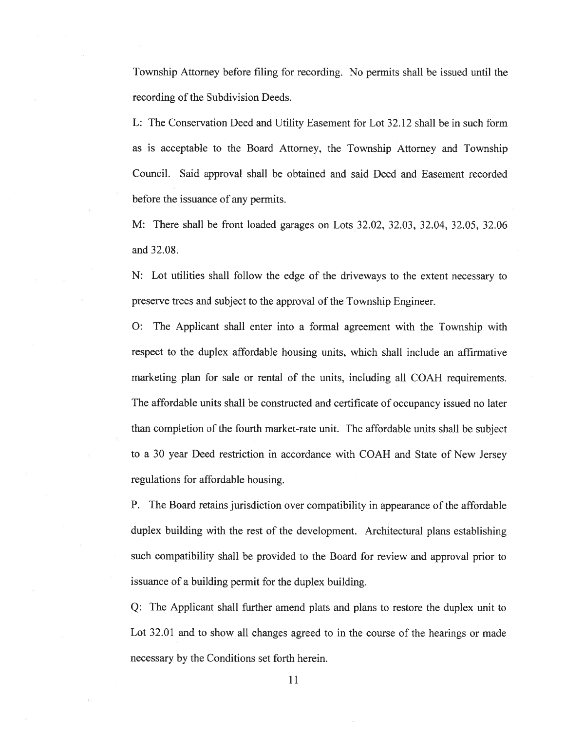Township Attorney before filing for recording. No permits shall be issued until the recording of the Subdivision Deeds.

L: The Conservation Deed and Utility Easement for Lot 32.12 shall be in such form as is acceptable to the Board Attorney, the Township Attorney and Township Council. Said approval shall be obtained and said Deed and Easement recorded before the issuance of any permits.

M: There shall be front loaded garages on Lots 32.02. 32.03, 32.04. 32.05. 32.06 and 32.08.

N: Lot utilities shall follow the edge of the driveways to the extent necessary to preserve trees and subject to the approval of the Township Engineer.

0: The Applicant shall enter into <sup>a</sup> formal agreemen<sup>t</sup> with the Township with respec<sup>t</sup> to the duplex affordable housing units, which shall include an affirmative marketing plan for sale or rental of the units, including all COAH requirements. The affordable units shall be constructed and certificate of occupancy issued no later than completion of the fourth market-rate unit. The affordable units shall be subject to <sup>a</sup> 30 year Deed restriction in accordance with COAH and State of New Jersey regulations for affordable housing.

P. The Board retains jurisdiction over compatibility in appearance of the affordable duplex building with the rest of the development. Architectural plans establishing such compatibility shall be provided to the Board for review and approval prior to issuance of <sup>a</sup> building permit for the duplex building.

Q: The Applicant shall further amend <sup>p</sup>lats and <sup>p</sup>lans to restore the duplex unit to Lot 32.01 and to show all changes agreed to in the course of the hearings or made necessary by the Conditions set forth herein.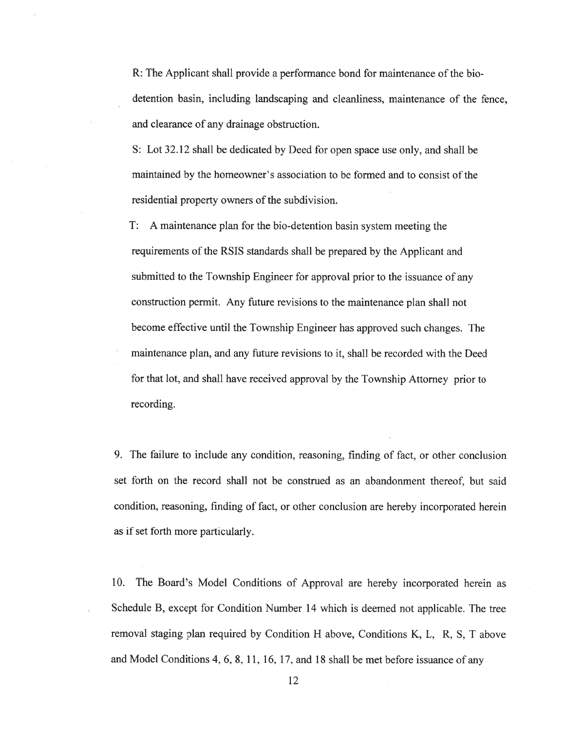R: The Applicant shall provide <sup>a</sup> performance bond for maintenance of the bio detention basin, including landscaping and cleanliness, maintenance of the fence, and clearance of any drainage obstruction.

S: Lot 32.12 shall be dedicated by Deed for open space use only, and shall be maintained by the homeowner's association to be formed and to consist of the residential property owners of the subdivision.

T: A maintenance plan for the bio-detention basin system meeting the requirements of the RSIS standards shall be prepared by the Applicant and submitted to the Township Engineer for approval prior to the issuance of any construction permit. Any future revisions to the maintenance <sup>p</sup>lan shall not become effective until the Township Engineer has approved such changes. The maintenance plan, and any future revisions to it, shall be recorded with the Deed for that lot, and shall have received approval by the Township Attorney prior to recording.

9. The failure to include any condition, reasoning, finding of fact, or other conclusion set forth on the record shall not be construed as an abandonment thereof, but said condition, reasoning, finding of fact, or other conclusion are hereby incorporated herein as if set forth more particularly.

10. The Board's Model Conditions of Approval are hereby incorporated herein as Schedule B, excep<sup>t</sup> for Condition Number <sup>14</sup> which is deemed not applicable. The tree removal staging plan required by Condition <sup>H</sup> above, Conditions K. L. R. 5, <sup>T</sup> above and Model Conditions 4, 6. 8, 11, 16, 17, and <sup>18</sup> shall be met before issuance of any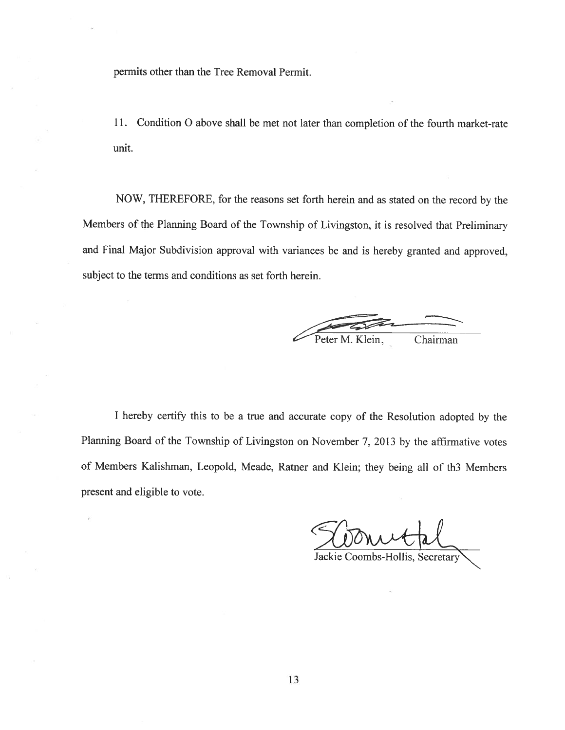permits other than the Tree Removal Permit.

11. Condition 0 above shall be met not later than completion of the fourth market-rate unit.

NOW, THEREFORE, for the reasons set forth herein and as stated on the record by the Members of the Planning Board of the Township of Livingston, it is resolved that Preliminary and Final Major Subdivision approva<sup>l</sup> with variances be and is hereby granted and approved. subject to the terms and conditions as set forth herein.

Peter M. Klein, Chairman

<sup>I</sup> hereby certify this to be <sup>a</sup> true and accurate copy of the Resolution adopted by the Planning Board of the Township of Livingston on November 7, <sup>2013</sup> by the affirmative votes of Members Kalishman, Leopold, Meade, Ratner and Klein; they being all of th3 Members presen<sup>t</sup> and eligible to vote.

Vonutal

Jackie Coombs-Hollis, Secre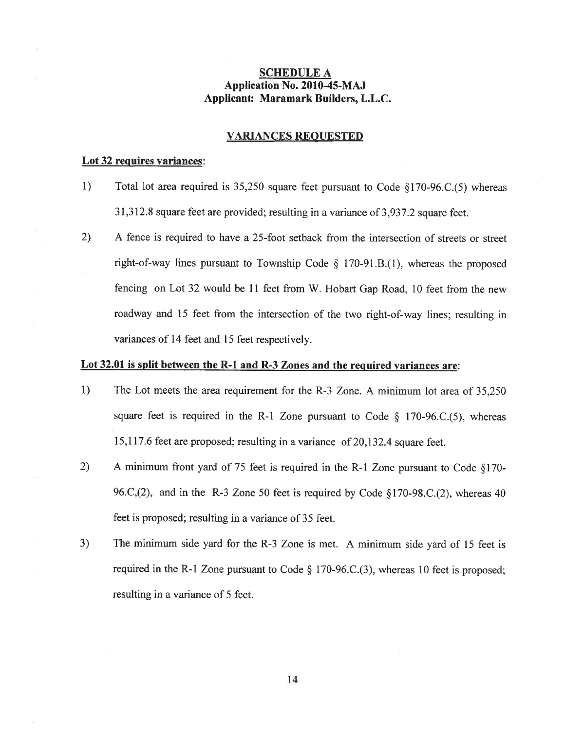## SCHEDULE A Application No. 2010-45-MAJ Applicant: Maramark Builders, L.L.C.

#### VARIANCES REOUESTED

#### Lot 32-requires variances:

- 1) Total lot area required is 35,250 square feet pursuan<sup>t</sup> to Code §170-96.C.(5) whereas 31,312.8 square feet are provided; resulting in <sup>a</sup> variance of 3,937.2 square feet.
- 2) A fence is required to have <sup>a</sup> 25-foot setback from the intersection of streets or street right-of-way lines pursuant to Township Code  $\S$  170-91.B.(1), whereas the proposed fencing on Lot <sup>32</sup> would be <sup>11</sup> feet from W. Hobart Gap Road, <sup>10</sup> feet from the new roadway and <sup>15</sup> feet from the intersection of the two right-of-way lines; resulting in variances of 14 feet and 15 feet respectively.

#### Lot 32.01 is split between the R-1 and R-3 Zones and the required variances are:

- 1) The Lot meets the area requirement for the R-3 Zone. A minimum lot area of 35.250 square feet is required in the R-1 Zone pursuant to Code  $\S$  170-96.C.(5), whereas 15,117.6 feet are proposed; resulting in <sup>a</sup> variance of 20,132.4 square feet.
- 2) A minimum front yard of 75 feet is required in the R-1 Zone pursuant to Code  $\S170$ -96.C,(2), and in the R-3 Zone <sup>50</sup> feet is required by Code §170-98.C.(2), whereas <sup>40</sup> feet is proposed; resulting in <sup>a</sup> variance of 35 feet.
- 3) The minimum side yar<sup>d</sup> for the R-3 Zone is met. <sup>A</sup> minimum side yar<sup>d</sup> of <sup>15</sup> feet is required in the R-1 Zone pursuan<sup>t</sup> to Code § 170-96.C.(3), whereas <sup>10</sup> feet is proposed; resulting in <sup>a</sup> variance of 5 feet.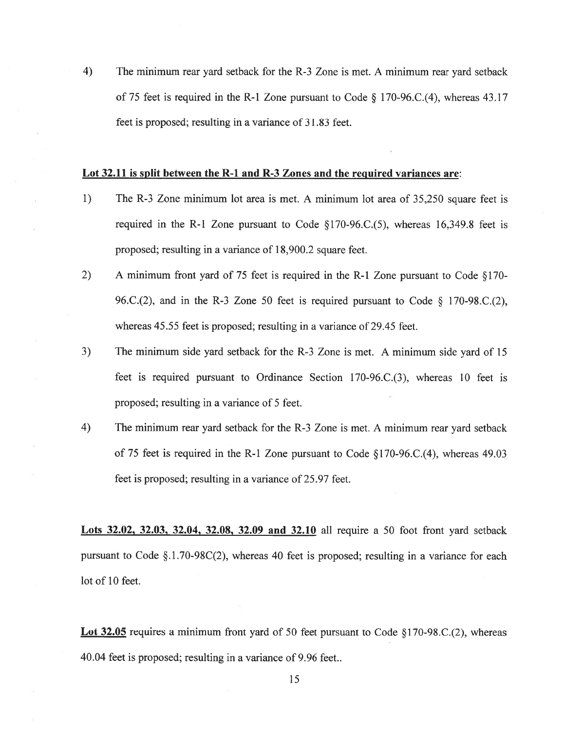4) The minimum rear yard setback for the R-3 Zone is met. A minimum rear yard setback of <sup>75</sup> feet is required in the R-1 Zone pursuan<sup>t</sup> to Code § 170-96.C.(4), whereas 43.17 feet is proposed; resulting in <sup>a</sup> variance of 31.83 feet.

#### Lot 32.11 is split between the R-1 and R-3 Zones and the required variances are:

- 1) The R-3 Zone minimum lot area is met. A minimum lot area of 35,250 square feet is required in the R-1 Zone pursuant to Code  $\S170-96$ .C.(5), whereas 16,349.8 feet is proposed; resulting in <sup>a</sup> variance of 18,900.2 square feet.
- 2) A minimum front yard of 75 feet is required in the R-1 Zone pursuan<sup>t</sup> to Code §170- 96.C.(2), and in the R-3 Zone 50 feet is required pursuant to Code  $\S$  170-98.C.(2), whereas 45.55 feet is proposed; resulting in <sup>a</sup> variance of 29.45 feet.
- 3) The minimum side yard setback for the R-3 Zone is met. A minimum side yard of 15 feet is required pursuan<sup>t</sup> to Ordinance Section 170-96.C.(3). whereas 10 feet is proposed; resulting in <sup>a</sup> variance of 5 feet.
- 4) The minimum rear yard setback for the R-3 Zone is met. A minimum rear yard setback of 75 feet is required in the R-1 Zone pursuan<sup>t</sup> to Code §170-96.C.(4), whereas 49.03 feet is proposed; resulting in <sup>a</sup> variance of 25.97 feet.

Lots 32.02, 32.03, 32.04, 32.08, 32.09 and 32.10 all require a 50 foot front yard setback pursuan<sup>t</sup> to Code §.1.70-98C(2). whereas 40 feet is proposed; resulting in <sup>a</sup> variance for each lot of 10 feet.

Lot 32.05 requires a minimum front yard of 50 feet pursuant to Code  $\S170-98$ .C.(2), whereas 40.04 feet is proposed; resulting in <sup>a</sup> variance of 9.96 feet..

15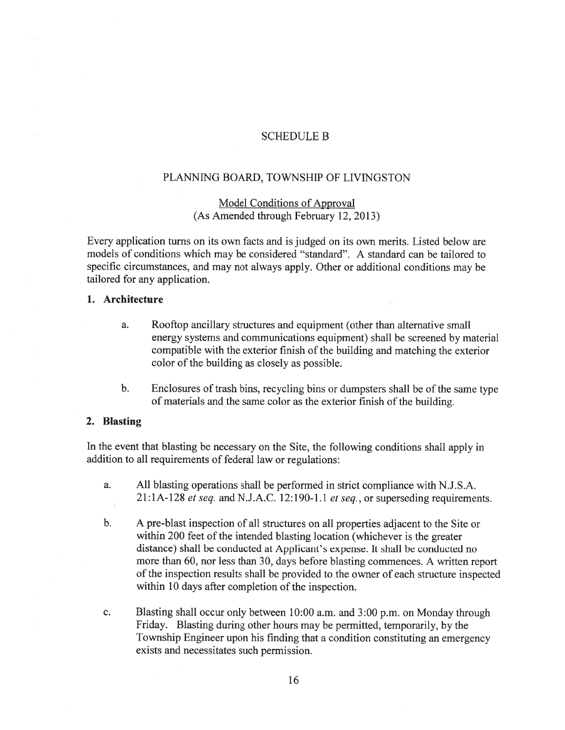### SCHEDULE B

### PLANNING BOARD, TOWNSHIP OF LIVINGSTON

# Model Conditions of Approval (As Amended through February 12, 2013)

Every application turns on its own facts and is judged on its own merits. Listed below are models of conditions which may be considered "standard". A standard can be tailored to specific circumstances, and may not always apply. Other or additional conditions may be tailored for any application.

### 1. Architecture

- a. Rooftop ancillary structures and equipment (other than alternative small energy systems and communications equipment) shall be screened by material compatible with the exterior finish of the building and matching the exterior color of the building as closely as possible.
- b. Enclosures of trash bins, recycling bins or dumpsters shall be of the same type of materials and the same color as the exterior finish of the building.

### 2. Blasting

In the event that blasting be necessary on the Site, the following conditions shall apply in addition to all requirements of federal law or regulations:

- a. All blasting operations shall be performed in strict compliance with N.J.S.A.  $21:1A-128$  et seq. and N.J.A.C. 12:190-1.1 et seq., or superseding requirements.
- b. <sup>A</sup> pre-blast inspection of all structures on all properties adjacent to the Site or within 200 feet of the intended blasting location (whichever is the greater distance) shall be conducted at Applicant's expense. It shall be conducted no more than 60, nor less than 30, days before blasting commences. <sup>A</sup> written repor<sup>t</sup> of the inspection results shall be provided to the owner of each structure inspected within 10 days after completion of the inspection.
- c. Blasting shall occur only between 10:00 a.m. and 3:00 p.m. on Monday through Friday. Blasting during other hours may be permitted, temporarily, by the Township Engineer upon his finding that <sup>a</sup> condition constituting an emergency exists and necessitates such permission.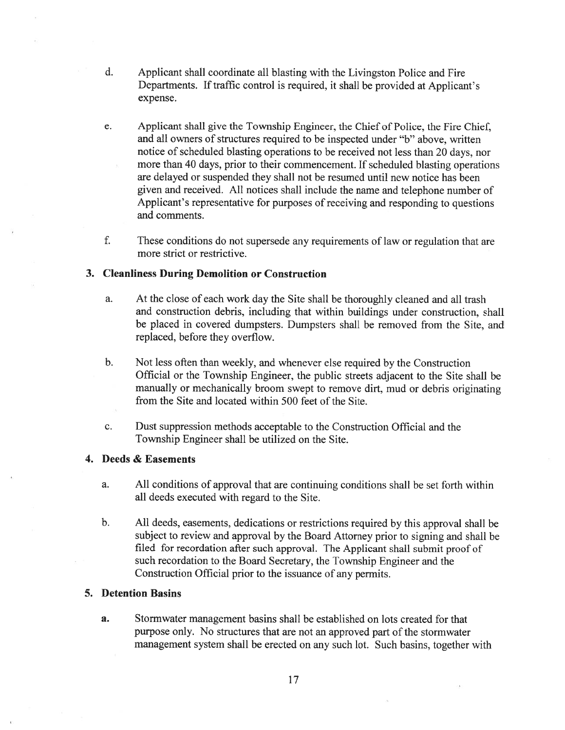- d. Applicant shall coordinate all blasting with the Livingston Police and Fire Departments. If traffic control is required, it shall be provided at Applicant's expense.
- e. Applicant shall give the Township Engineer, the Chief of Police, the Fire Chief, and all owners of structures required to be inspected under "b" above, written notice of scheduled blasting operations to be received not less than 20 days, nor more than 40 days, prior to their commencement. If scheduled blasting operations are delayed or suspended they shall not be resumed until new notice has been <sup>g</sup>iven and received. All notices shall include the name and telephone number of Applicant's representative for purposes of receiving and responding to questions and comments.
- f. These conditions do not supersede any requirements of law or regulation that are more strict or restrictive.

## 3. Cleanliness During Demolition or Construction

- a. At the close of each work day the Site shall be thoroughly cleaned and all trash and construction debris, including that within buildings under construction, shall be placed in covered dumpsters. Dumpsters shall be removed from the Site, and replaced, before they overflow.
- b. Not less often than weekly, and whenever else required by the Construction Official or the Township Engineer, the public streets adjacent to the Site shall be manually or mechanically broom swep<sup>t</sup> to remove dirt. mud or debris originating from the Site and located within 500 feet of the Site.
- c. Dust suppression methods acceptable to the Construction Official and the Township Engineer shall be utilized on the Site.

#### 4. Deeds & Easements

- a. All conditions of approval that are continuing conditions shall be set forth within all deeds executed with regard to the Site.
- b. All deeds. easements, dedications or restrictions required by this approva<sup>l</sup> shall be subject to review and approva<sup>l</sup> by the Board Attorney prior to signing and shall be filed for recordation after such approval. The Applicant shall submit proo<sup>f</sup> of such recordation to the Board Secretary, the Township Engineer and the Construction Official prior to the issuance of any permits.

### 5. Detention Basins

a. Stormwater managemen<sup>t</sup> basins shall be established on lots created for that purpose only. No structures that are not an approved par<sup>t</sup> of the stormwater managemen<sup>t</sup> system shall be erected on any such lot. Such basins, together with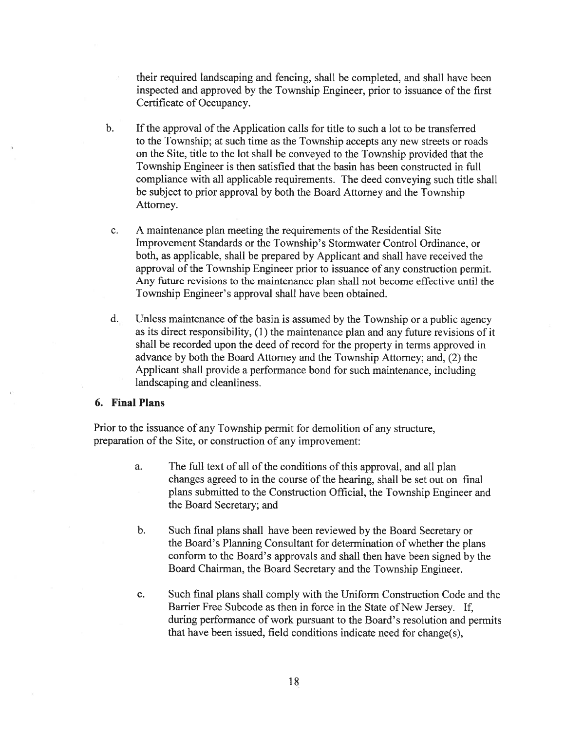their required landscaping and fencing, shall be completed, and shall have been inspected and approved by the Township Engineer, prior to issuance of the first Certificate of Occupancy.

- b. If the approval of the Application calls for title to such <sup>a</sup> lot to be transferred to the Township; at such time as the Township accepts any new streets or roads on the Site, title to the lot shall be conveyed to the Township provided that the Township Engineer is then satisfied that the basin has been constructed in full compliance with all applicable requirements. The deed conveying such title shall be subject to prior approval by both the Board Attorney and the Township Attorney.
- c. A maintenance plan meeting the requirements of the Residential Site Improvement Standards or the Township's Stormwater Control Ordinance. or both, as applicable, shall be prepared by Applicant and shall have received the approval of the Township Engineer prior to issuance of any construction permit. Any future revisions to the maintenance plan shall not become effective until the Township Engineer's approval shall have been obtained.
- d. Unless maintenance of the basin is assumed by the Township or <sup>a</sup> public agency as its direct responsibility, (1) the maintenance plan and any future revisions of it shall be recorded upon the deed of record for the property in terms approved in advance by both the Board Attorney and the Township Attorney; and, (2) the Applicant shall provide <sup>a</sup> performance bond for such maintenance, including landscaping and cleanliness.

#### 6. Final Plans

Prior to the issuance of any Township permit for demolition of any structure, preparation of the Site, or construction of any improvement:

- a. The full text of all of the conditions of this approval, and all plan changes agreed to in the course of the hearing, shall be set out on final plans submitted to the Construction Official, the Township Engineer and the Board Secretary; and
- b. Such final plans shall have been reviewed by the Board Secretary or the Board's Planning Consultant for determination of whether the plans conform to the Board's approvals and shall then have been signed by the Board Chairman, the Board Secretary and the Township Engineer.
- c. Such final plans shall comply with the Uniform Construction Code and the Barrier Free Subcode as then in force in the State of New Jersey. If, during performance of work pursuan<sup>t</sup> to the Board's resolution and permits that have been issued, field conditions indicate need for change(s),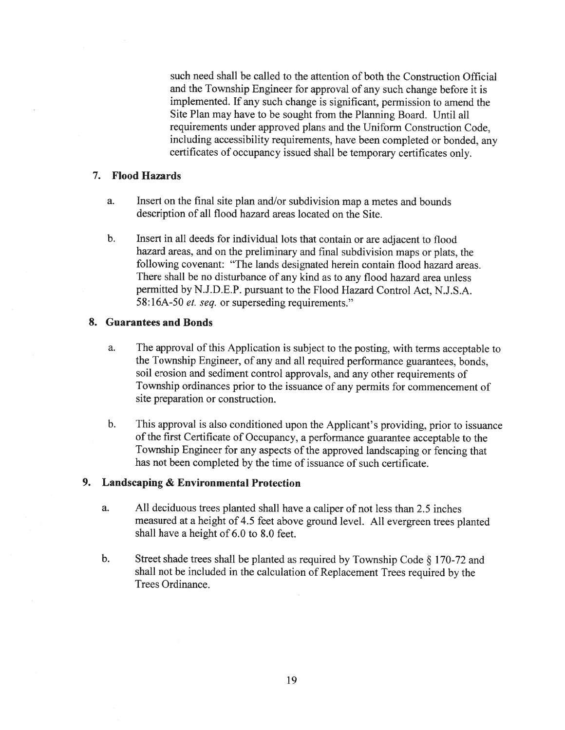such need shall be called to the attention of both the Construction Official and the Township Engineer for approva<sup>l</sup> of any such change before it is implemented. If any such change is significant, permission to amend the Site Plan may have to be sought from the Planning Board. Until all requirements under approved plans and the Uniform Construction Code, including accessibility requirements, have been completed or bonded, any certificates of occupancy issued shall be temporary certificates only.

#### 7. Flood Hazards

- a. Insert on the final site <sup>p</sup>lan and/or subdivision map <sup>a</sup> metes and bounds description of all flood hazard areas located on the Site.
- b. Insert in all deeds for individual lots that contain or are adjacent to flood hazard areas. and on the preliminary and final subdivision maps or <sup>p</sup>lats. the following covenant: 'The lands designated herein contain flood hazard areas. There shall be no disturbance of any kind as to any flood hazard area unless permitted by N.J.D.E.P. pursuan<sup>t</sup> to the Flood Hazard Control Act, N.J.S.A. 58:16A-50 *et. seq.* or superseding requirements."

#### 8. Guarantees and Bonds

- a. The approva<sup>l</sup> of this Application is subject to the posting, with terms acceptable to the Township Engineer, of any and all required performance guarantees, bonds. soil erosion and sediment control approvals, and any other requirements of Township ordinances prior to the issuance of any permits for commencement of site preparation or construction.
- b. This approva<sup>l</sup> is also conditioned upon the Applicant's providing, prior to issuance of the first Certificate of Occupancy, <sup>a</sup> performance guarantee acceptable to the Township Engineer for any aspects of the approve<sup>d</sup> landscaping or fencing that has not been completed by the time of issuance of such certificate.

# 9. Landscaping & Environmental Protection

- a. All deciduous trees <sup>p</sup>lanted shall have <sup>a</sup> caliper of not less than 2.5 inches measured at <sup>a</sup> height of 4.5 feet above groun<sup>d</sup> level. All evergreen trees <sup>p</sup>lanted shall have <sup>a</sup> height of 6.0 to 8.0 feet.
- b. Street shade trees shall be <sup>p</sup>lanted as required by Township Code § 170-72 and shall not be included in the calculation of Replacement Trees required by the Trees Ordinance.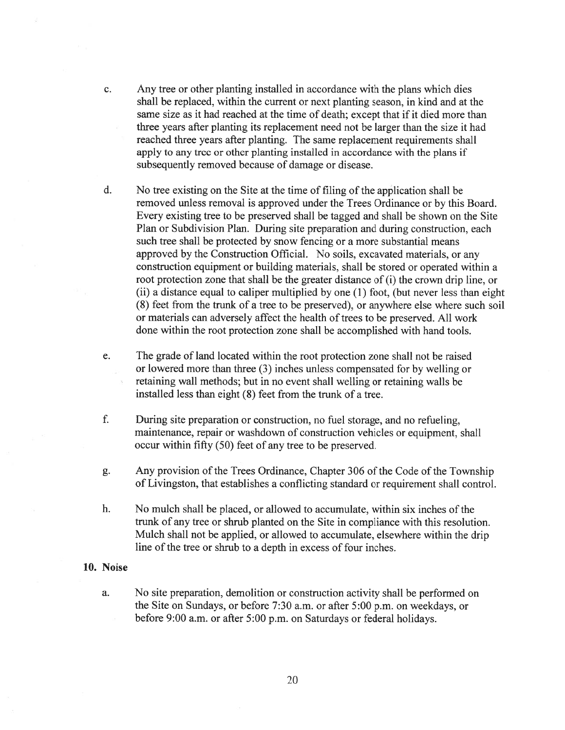- c. Any tree or other planting installed in accordance with the plans which dies shall be replaced, within the current or next planting season, in kind and at the same size as it had reached at the time of death; excep<sup>t</sup> that if it died more than three years after planting its replacement need not be larger than the size it had reached three years after planting. The same replacement requirements shall apply to any tree or other planting installed in accordance with the plans if subsequently removed because of damage or disease.
- d. No tree existing on the Site at the time of filing of the application shall be removed unless removal is approved under the Trees Ordinance or by this Board. Every existing tree to be preserved shall be tagged and shall be shown on the Site Plan or Subdivision Plan. During site preparation and during construction, each such tree shall be protected by snow fencing or <sup>a</sup> more substantial means approved by the Construction Official. No soils, excavated materials, or any construction equipment or building materials, shall be stored or operated within <sup>a</sup> root protection zone that shall be the greater distance of (i) the crown drip line, or (ii) <sup>a</sup> distance equal to caliper multiplied by one (1) foot, (but never less than eight (8) feet from the trunk of <sup>a</sup> tree to be preserved), or anywhere else where such soil or materials can adversely affect the health of trees to be preserved. All work done within the root protection zone shall be accomplished with hand tools.
- e. The grade of land located within the root protection zone shall not be raised or lowered more than three (3) inches unless compensated for by welling or retaining wall methods; but in no event shall welling or retaining walls be installed less than eight (8) feet from the trunk of <sup>a</sup> tree.
- f. During site preparation or construction, no fuel storage, and no refueling, maintenance, repair or washdown of construction vehicles or equipment, shall occur within fifty (50) feet of any tree to be preserved.
- g. Any provision of the Trees Ordinance, Chapter 306 of the Code of the Township of Livingston, that establishes <sup>a</sup> conflicting standard or requirement shall control.
- h. No mulch shall be placed, or allowed to accumulate, within six inches of the trunk of any tree or shrub planted on the Site in compliance with this resolution. Mulch shall not be applied, or allowed to accumulate, elsewhere within the drip line of the tree or shrub to a depth in excess of four inches.

#### 10. Noise

a. No site preparation, demolition or construction activity shall be performed on the Site on Sundays, or before 7:30 a.m. or after 5:00 p.m. on weekdays. or before 9:00 a.m. or after 5:00 p.m. on Saturdays or federal holidays.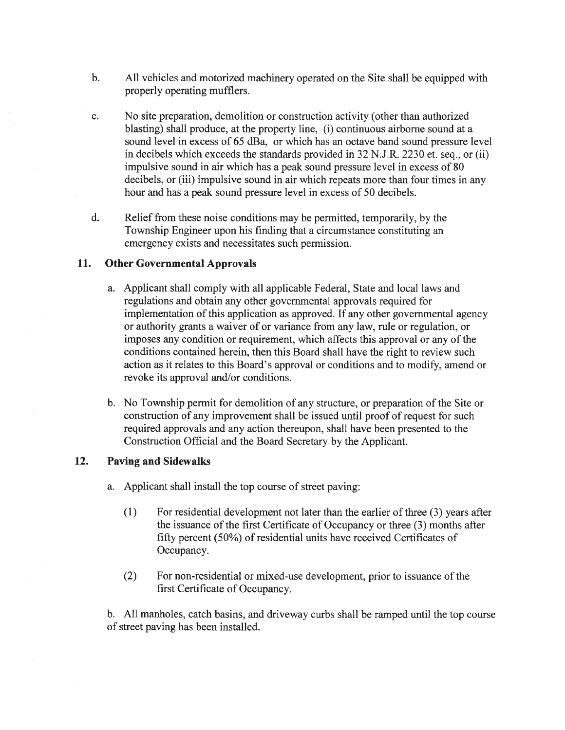- b. All vehicles and motorized machinery operated on the Site shall be equipped with properly operating mufflers.
- c. No site preparation, demolition or construction activity (other than authorized blasting) shall produce, at the property line, (i) continuous airborne sound at <sup>a</sup> sound level in excess of 65 dBa, or which has an octave band sound pressure level in decibels which exceeds the standards provided in 32 N.J.R. 2230 et. seq., or (ii) impulsive sound in air which has <sup>a</sup> peak sound pressure level in excess of 80 decibels, or (iii) impulsive sound in air which repeats more than four times in any hour and has <sup>a</sup> peak sound pressure level in excess of 50 decibels.
- d. Relief from these noise conditions may be permitted, temporarily, by the Township Engineer upon his finding that <sup>a</sup> circumstance constituting an emergency exists and necessitates such permission.

### 11. Other Governmental Approvals

- a. Applicant shall comply with all applicable Federal, State and local laws and regulations and obtain any other governmental approvals required for implementation of this application as approved. If any other governmental agency or authority grants <sup>a</sup> waiver of or variance from any law, rule or regulation, or imposes any condition or requirement, which affects this approval or any of the conditions contained herein, then this Board shall have the right to review such action as it relates to this Board's approval or conditions and to modify, amend or revoke its approval and/or conditions.
- b. No Township permit for demolition of any structure, or preparation of the Site or construction of any improvement shall be issued until proof of reques<sup>t</sup> for such required approvals and any action thereupon, shall have been presented to the Construction Official and the Board Secretary by the Applicant.

# 12. Paving and Sidewalks

- a. Applicant shall install the top course of street paving:
	- (1) For residential development not later than the earlier of three (3) years after the issuance of the first Certificate of Occupancy or three (3) months after fifty percen<sup>t</sup> (50%) of residential units have received Certificates of Occupancy.
	- (2) For non-residential or mixed-use development, prior to issuance of the first Certificate of Occupancy.

b. All manholes, catch basins, and driveway curbs shall be ramped until the top course of street paving has been installed.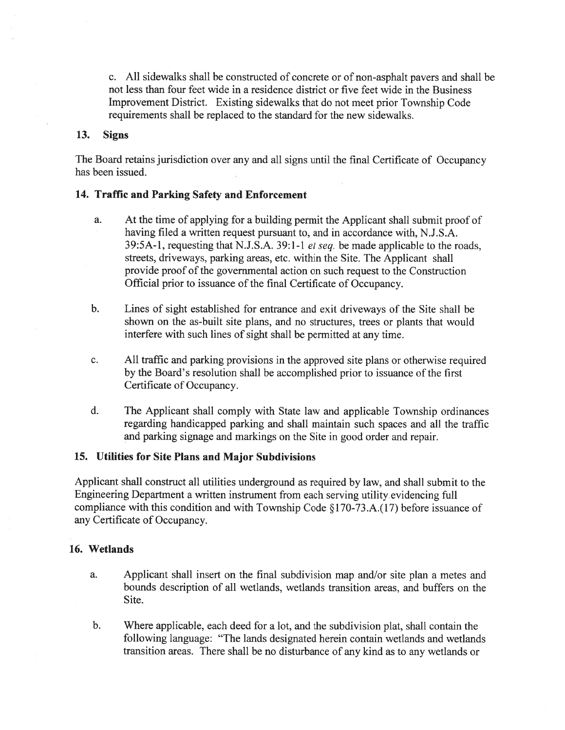c. All sidewalks shall be constructed of concrete or of non-asphalt payers and shall be not less than four feet wide in <sup>a</sup> residence district or five feet wide in the Business Improvement District. Existing sidewalks that do not meet prior Township Code requirements shall be replaced to the standard for the new sidewalks.

### 13. Signs

The Board retains jurisdiction over any and all signs until the final Certificate of Occupancy has been issued.

### 14. Traffic and Parking Safety and Enforcement

- a. At the time of applying for <sup>a</sup> building permit the Applicant shall submit proof of having filed <sup>a</sup> written reques<sup>t</sup> pursuan<sup>t</sup> to, and in accordance with, N.J.S.A. 39:5A-l, requesting that N.J.S.A. 39:1-1 et seq. be made applicable to the roads, streets, driveways, parking areas, etc. within the Site. The Applicant shall provide proof of the governmental action on such reques<sup>t</sup> to the Construction Official prior to issuance of the final Certificate of Occupancy.
- b. Lines of sight established for entrance and exit driveways of the Site shall be shown on the as-built site plans, and no structures, trees or plants that would interfere with such lines of sight shall be permitted at any time.
- c. All traffic and parking provisions in the approved site plans or otherwise required by the Board's resolution shall be accomplished prior to issuance of the first Certificate of Occupancy.
- d. The Applicant shall comply with State law and applicable Township ordinances regarding handicapped parking and shall maintain such spaces and all the traffic and parking signage and markings on the Site in good order and repair.

### 15. Utilities for Site Plans and Major Subdivisions

Applicant shall constmct all utilities underground as required by law, and shall submit to the Engineering Department <sup>a</sup> written instrument from each serving utility evidencing full compliance with this condition and with Township Code §170-73.A.(l7) before issuance of any Certificate of Occupancy.

### 16. Wetlands

- a. Applicant shall insert on the final subdivision map and/or site plan <sup>a</sup> metes and bounds description of all wetlands, wetlands transition areas. and buffers on the Site.
- b. Where applicable, each deed for <sup>a</sup> lot, and the subdivision <sup>p</sup>lat, shall contain the following language: "The lands designated herein contain wetlands and wetlands transition areas. There shall be no disturbance of any kind as to any wetlands or